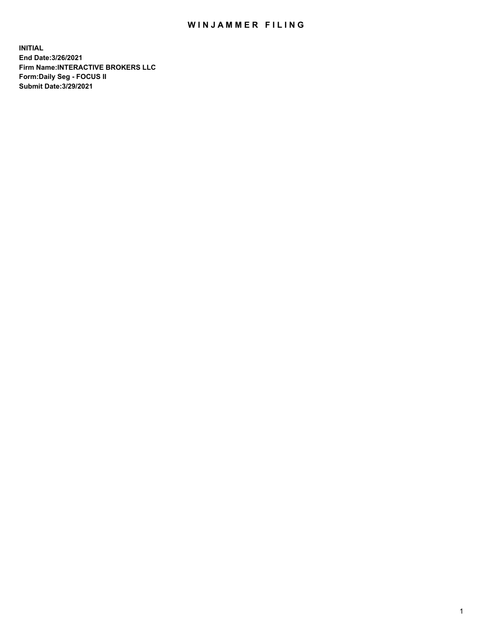## WIN JAMMER FILING

**INITIAL End Date:3/26/2021 Firm Name:INTERACTIVE BROKERS LLC Form:Daily Seg - FOCUS II Submit Date:3/29/2021**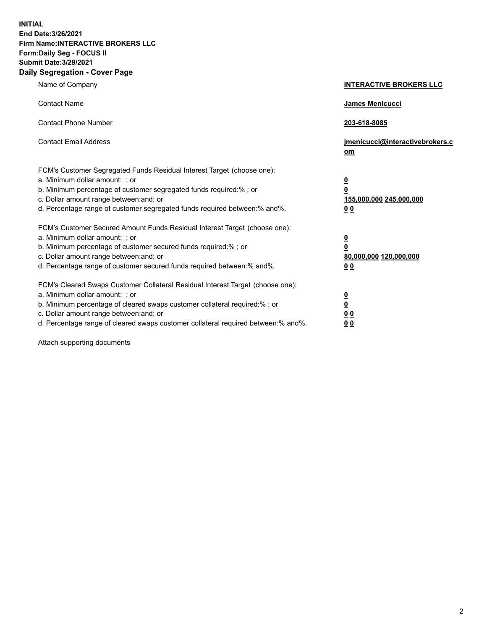**INITIAL End Date:3/26/2021 Firm Name:INTERACTIVE BROKERS LLC Form:Daily Seg - FOCUS II Submit Date:3/29/2021 Daily Segregation - Cover Page**

| Name of Company                                                                                                                                                                                                                                                                                                                | <b>INTERACTIVE BROKERS LLC</b>                                                   |  |
|--------------------------------------------------------------------------------------------------------------------------------------------------------------------------------------------------------------------------------------------------------------------------------------------------------------------------------|----------------------------------------------------------------------------------|--|
| <b>Contact Name</b>                                                                                                                                                                                                                                                                                                            | James Menicucci                                                                  |  |
| <b>Contact Phone Number</b>                                                                                                                                                                                                                                                                                                    | 203-618-8085                                                                     |  |
| <b>Contact Email Address</b>                                                                                                                                                                                                                                                                                                   | jmenicucci@interactivebrokers.c<br>om                                            |  |
| FCM's Customer Segregated Funds Residual Interest Target (choose one):<br>a. Minimum dollar amount: ; or<br>b. Minimum percentage of customer segregated funds required:% ; or<br>c. Dollar amount range between: and; or<br>d. Percentage range of customer segregated funds required between:% and%.                         | <u>0</u><br>$\overline{\mathbf{0}}$<br>155,000,000 245,000,000<br>0 <sub>0</sub> |  |
| FCM's Customer Secured Amount Funds Residual Interest Target (choose one):<br>a. Minimum dollar amount: ; or<br>b. Minimum percentage of customer secured funds required:% ; or<br>c. Dollar amount range between: and; or<br>d. Percentage range of customer secured funds required between:% and%.                           | <u>0</u><br>$\overline{\mathbf{0}}$<br>80,000,000 120,000,000<br>0 <sub>0</sub>  |  |
| FCM's Cleared Swaps Customer Collateral Residual Interest Target (choose one):<br>a. Minimum dollar amount: ; or<br>b. Minimum percentage of cleared swaps customer collateral required:% ; or<br>c. Dollar amount range between: and; or<br>d. Percentage range of cleared swaps customer collateral required between:% and%. | <u>0</u><br>$\underline{\mathbf{0}}$<br>0 <sub>0</sub><br>0 <sub>0</sub>         |  |

Attach supporting documents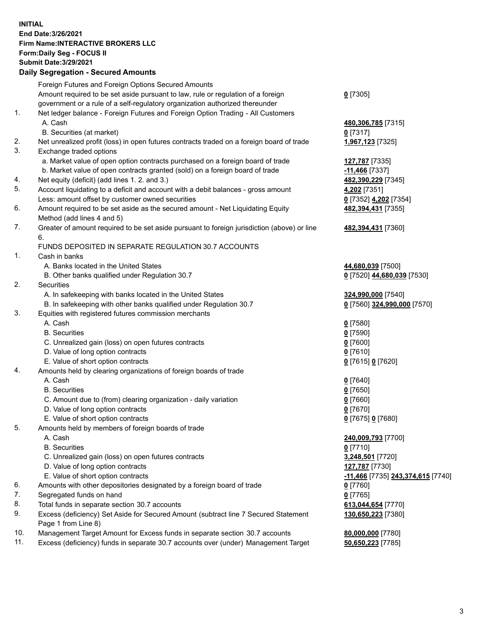**INITIAL End Date:3/26/2021 Firm Name:INTERACTIVE BROKERS LLC Form:Daily Seg - FOCUS II Submit Date:3/29/2021 Daily Segregation - Secured Amounts**

## Foreign Futures and Foreign Options Secured Amounts Amount required to be set aside pursuant to law, rule or regulation of a foreign government or a rule of a self-regulatory organization authorized thereunder **0** [7305] 1. Net ledger balance - Foreign Futures and Foreign Option Trading - All Customers A. Cash **480,306,785** [7315] B. Securities (at market) **0** [7317] 2. Net unrealized profit (loss) in open futures contracts traded on a foreign board of trade **1,967,123** [7325] 3. Exchange traded options a. Market value of open option contracts purchased on a foreign board of trade **127,787** [7335] b. Market value of open contracts granted (sold) on a foreign board of trade **-11,466** [7337] 4. Net equity (deficit) (add lines 1. 2. and 3.) **482,390,229** [7345] 5. Account liquidating to a deficit and account with a debit balances - gross amount **4,202** [7351] Less: amount offset by customer owned securities **0** [7352] **4,202** [7354] 6. Amount required to be set aside as the secured amount - Net Liquidating Equity Method (add lines 4 and 5) **482,394,431** [7355] 7. Greater of amount required to be set aside pursuant to foreign jurisdiction (above) or line 6. **482,394,431** [7360] FUNDS DEPOSITED IN SEPARATE REGULATION 30.7 ACCOUNTS 1. Cash in banks A. Banks located in the United States **44,680,039** [7500] B. Other banks qualified under Regulation 30.7 **0** [7520] **44,680,039** [7530] 2. Securities A. In safekeeping with banks located in the United States **324,990,000** [7540] B. In safekeeping with other banks qualified under Regulation 30.7 **0** [7560] **324,990,000** [7570] 3. Equities with registered futures commission merchants A. Cash **0** [7580] B. Securities **0** [7590] C. Unrealized gain (loss) on open futures contracts **0** [7600] D. Value of long option contracts **0** [7610] E. Value of short option contracts **0** [7615] **0** [7620] 4. Amounts held by clearing organizations of foreign boards of trade A. Cash **0** [7640] B. Securities **0** [7650] C. Amount due to (from) clearing organization - daily variation **0** [7660] D. Value of long option contracts **0** [7670] E. Value of short option contracts **0** [7675] **0** [7680] 5. Amounts held by members of foreign boards of trade A. Cash **240,009,793** [7700] B. Securities **0** [7710] C. Unrealized gain (loss) on open futures contracts **3,248,501** [7720] D. Value of long option contracts **127,787** [7730] E. Value of short option contracts **-11,466** [7735] **243,374,615** [7740] 6. Amounts with other depositories designated by a foreign board of trade **0** [7760] 7. Segregated funds on hand **0** [7765] 8. Total funds in separate section 30.7 accounts **613,044,654** [7770] 9. Excess (deficiency) Set Aside for Secured Amount (subtract line 7 Secured Statement Page 1 from Line 8) **130,650,223** [7380] 10. Management Target Amount for Excess funds in separate section 30.7 accounts **80,000,000** [7780] 11. Excess (deficiency) funds in separate 30.7 accounts over (under) Management Target **50,650,223** [7785]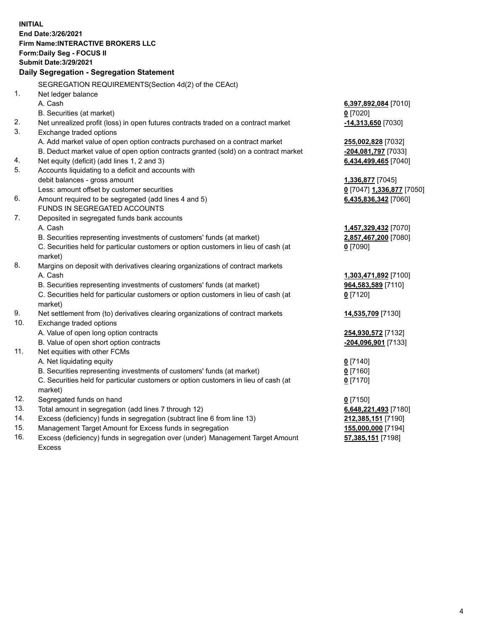**INITIAL End Date:3/26/2021 Firm Name:INTERACTIVE BROKERS LLC Form:Daily Seg - FOCUS II Submit Date:3/29/2021 Daily Segregation - Segregation Statement** SEGREGATION REQUIREMENTS(Section 4d(2) of the CEAct) 1. Net ledger balance A. Cash **6,397,892,084** [7010] B. Securities (at market) **0** [7020] 2. Net unrealized profit (loss) in open futures contracts traded on a contract market **-14,313,650** [7030] 3. Exchange traded options A. Add market value of open option contracts purchased on a contract market **255,002,828** [7032] B. Deduct market value of open option contracts granted (sold) on a contract market **-204,081,797** [7033] 4. Net equity (deficit) (add lines 1, 2 and 3) **6,434,499,465** [7040] 5. Accounts liquidating to a deficit and accounts with debit balances - gross amount **1,336,877** [7045] Less: amount offset by customer securities **0** [7047] **1,336,877** [7050] 6. Amount required to be segregated (add lines 4 and 5) **6,435,836,342** [7060] FUNDS IN SEGREGATED ACCOUNTS 7. Deposited in segregated funds bank accounts A. Cash **1,457,329,432** [7070] B. Securities representing investments of customers' funds (at market) **2,857,467,200** [7080] C. Securities held for particular customers or option customers in lieu of cash (at market) **0** [7090] 8. Margins on deposit with derivatives clearing organizations of contract markets A. Cash **1,303,471,892** [7100] B. Securities representing investments of customers' funds (at market) **964,583,589** [7110] C. Securities held for particular customers or option customers in lieu of cash (at market) **0** [7120] 9. Net settlement from (to) derivatives clearing organizations of contract markets **14,535,709** [7130] 10. Exchange traded options A. Value of open long option contracts **254,930,572** [7132] B. Value of open short option contracts **-204,096,901** [7133] 11. Net equities with other FCMs A. Net liquidating equity **0** [7140] B. Securities representing investments of customers' funds (at market) **0** [7160] C. Securities held for particular customers or option customers in lieu of cash (at market) **0** [7170] 12. Segregated funds on hand **0** [7150] 13. Total amount in segregation (add lines 7 through 12) **6,648,221,493** [7180] 14. Excess (deficiency) funds in segregation (subtract line 6 from line 13) **212,385,151** [7190] 15. Management Target Amount for Excess funds in segregation **155,000,000** [7194] 16. Excess (deficiency) funds in segregation over (under) Management Target Amount **57,385,151** [7198]

Excess